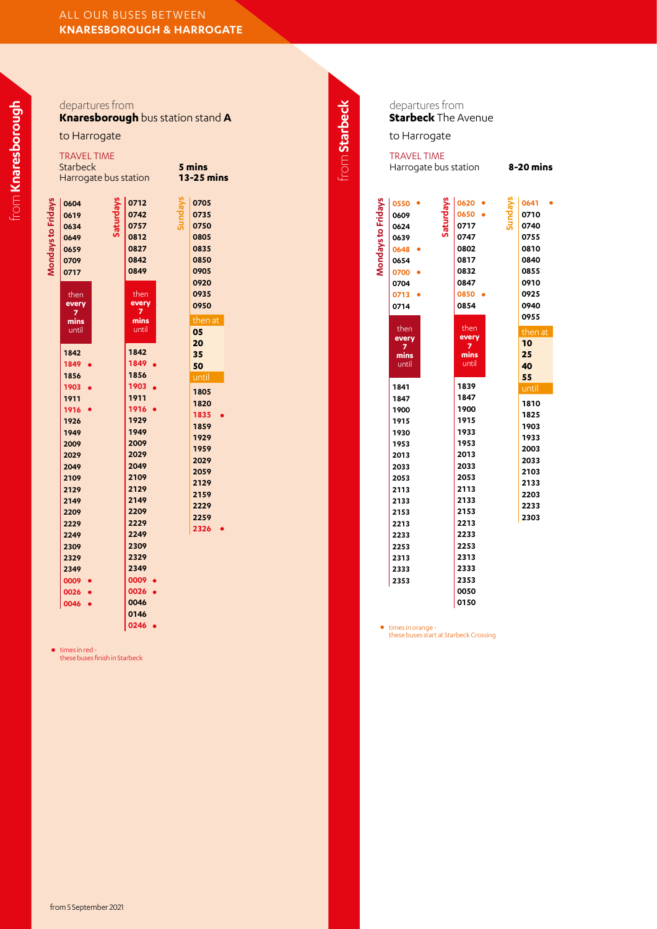|                    | departures from<br>Knaresborough bus station stand A                                                                                                                                                                                                                                               |                                                                                                                                                                                                                                                                                                  |                                                                                                                                                                                                                                  |               | d<br>$\mathbf{S}$                                                                                                                                                                                          |
|--------------------|----------------------------------------------------------------------------------------------------------------------------------------------------------------------------------------------------------------------------------------------------------------------------------------------------|--------------------------------------------------------------------------------------------------------------------------------------------------------------------------------------------------------------------------------------------------------------------------------------------------|----------------------------------------------------------------------------------------------------------------------------------------------------------------------------------------------------------------------------------|---------------|------------------------------------------------------------------------------------------------------------------------------------------------------------------------------------------------------------|
|                    | to Harrogate                                                                                                                                                                                                                                                                                       |                                                                                                                                                                                                                                                                                                  |                                                                                                                                                                                                                                  |               | t                                                                                                                                                                                                          |
|                    | <b>TRAVEL TIME</b><br>Starbeck<br>Harrogate bus station                                                                                                                                                                                                                                            |                                                                                                                                                                                                                                                                                                  | 5 mins<br><b>13-25 mins</b>                                                                                                                                                                                                      | from Starbeck | TI<br>$\overline{H}$                                                                                                                                                                                       |
| Mondays to Fridays | Saturdays<br>0604<br>0619<br>0634<br>0649<br>0659<br>0709<br>0717<br>then<br>every<br>7<br>mins<br>until<br>1842<br>1849 •<br>1856<br>1903<br>1911<br>1916<br>1926<br>1949<br>2009<br>2029<br>2049<br>2109<br>2129<br>2149<br>2209<br>2229<br>2249<br>2309<br>2329<br>2349<br>0009<br>0026<br>0046 | Sundays<br>0712<br>0742<br>0757<br>0812<br>0827<br>0842<br>0849<br>then<br>every<br>7<br>mins<br>until<br>1842<br>1849 •<br>1856<br>1903<br>1911<br>1916<br>1929<br>1949<br>2009<br>2029<br>2049<br>2109<br>2129<br>2149<br>2209<br>2229<br>2249<br>2309<br>2329<br>2349<br>0009<br>0026<br>0046 | 0705<br>0735<br>0750<br>0805<br>0835<br>0850<br>0905<br>0920<br>0935<br>0950<br>then at<br>05<br>20<br>35<br>50<br>until<br>1805<br>1820<br>1835<br>1859<br>1929<br>1959<br>2029<br>2059<br>2129<br>2159<br>2229<br>2259<br>2326 |               | Mondays to Fridays<br>O<br>O<br>$\mathbf{0}$<br>$\mathbf{0}$<br>O<br>o<br>o<br>O<br>O<br>O<br>1<br>1<br>1<br>1<br>1<br>1<br>2<br>2<br>2<br>2<br>2<br>2<br>2<br>2<br>2<br>2<br>2<br>$\overline{\mathbf{c}}$ |
|                    |                                                                                                                                                                                                                                                                                                    | 0146                                                                                                                                                                                                                                                                                             |                                                                                                                                                                                                                                  |               |                                                                                                                                                                                                            |

times in red - these buses finish in Starbeck

departures from **Starbeck** The Avenue

o Harrogate

RAVEL TIME Harrogate bus station **8-20 mins**

| ï | 0550              | 0620       | 0641    |
|---|-------------------|------------|---------|
|   | 0609              | 0650       | 0710    |
|   | Saturdays<br>0624 | 0717       | 0740    |
|   | 0639              | 0747       | 0755    |
|   | 0648              | 0802       | 0810    |
|   | 0654              | 0817       | 0840    |
|   | 0700              | 0832       | 0855    |
|   | 0704              | 0847       | 0910    |
|   | 0713              | 0850       | 0925    |
|   | 0714              | 0854       | 0940    |
|   |                   |            | 0955    |
|   | then              | then       | then at |
|   | every<br>7        | every<br>7 | 10      |
|   | mins              | mins       | 25      |
|   | until             | until      | 40      |
|   |                   |            | 55      |
|   | 1841              | 1839       | until   |
|   | 1847              | 1847       | 1810    |
|   | 1900              | 1900       | 1825    |
|   | 1915              | 1915       | 1903    |
|   | 1930              | 1933       | 1933    |
|   | 1953              | 1953       | 2003    |
|   | 2013              | 2013       | 2033    |
|   | 2033              | 2033       | 2103    |
|   | 2053              | 2053       | 2133    |
|   | 2113              | 2113       | 2203    |
|   | 2133              | 2133       | 2233    |
|   | 2153              | 2153       | 2303    |
|   | 2213              | 2213       |         |
|   | 2233              | 2233       |         |
|   | 2253              | 2253       |         |
|   | 2313              | 2313       |         |
|   | 2333              | 2333       |         |
|   | 2353              | 2353       |         |
|   |                   | 0050       |         |

times in orange - these buses start at Starbeck Crossing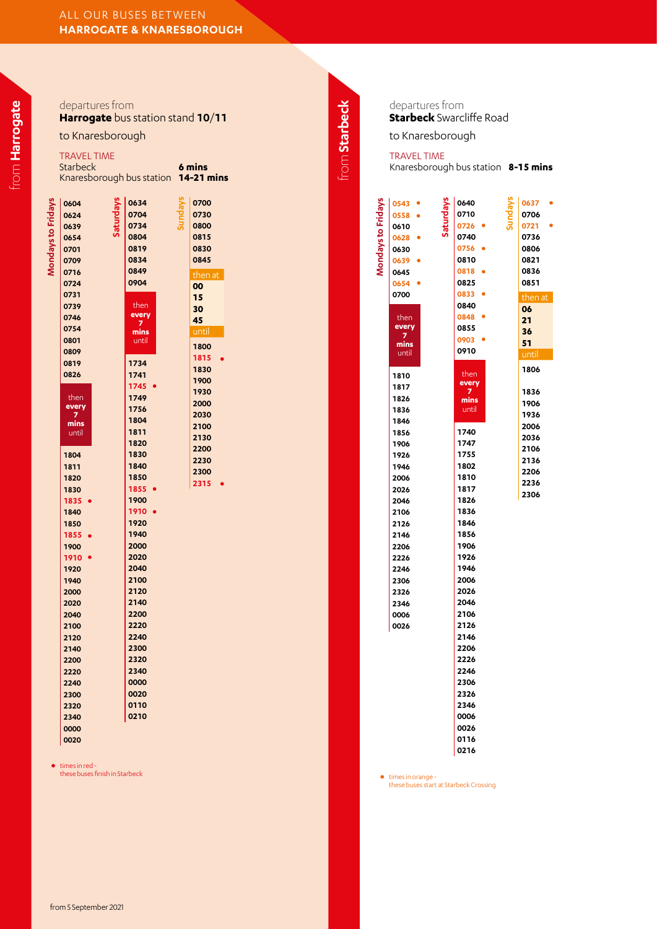|                    | departures from<br>Harrogate bus station stand 10/11<br>to Knaresborough<br><b>TRAVEL TIME</b><br>Starbeck<br>Knaresborough bus station 14-21 mins                                                                                                                                                                                                                                                   |                                                                                                                                                                                                                                                                                                                                                                                      | 6 mins                                                                                                                                                                                           | from Starbeck | departu<br><b>Starbed</b><br>to Knar<br><b>TRAVEL</b><br>Knaresbo                                                                                                                                                                                                                                                                             |
|--------------------|------------------------------------------------------------------------------------------------------------------------------------------------------------------------------------------------------------------------------------------------------------------------------------------------------------------------------------------------------------------------------------------------------|--------------------------------------------------------------------------------------------------------------------------------------------------------------------------------------------------------------------------------------------------------------------------------------------------------------------------------------------------------------------------------------|--------------------------------------------------------------------------------------------------------------------------------------------------------------------------------------------------|---------------|-----------------------------------------------------------------------------------------------------------------------------------------------------------------------------------------------------------------------------------------------------------------------------------------------------------------------------------------------|
| Mondays to Fridays | Saturdays<br>0604<br>0624<br>0639<br>0654<br>0701<br>0709<br>0716<br>0724<br>0731<br>0739<br>0746<br>0754<br>0801<br>0809<br>0819<br>0826<br>then<br>every<br>7<br>mins<br>until<br>1804<br>1811<br>1820<br>1830<br>1835 •<br>1840<br>1850<br>1855 •<br>1900<br>1910<br>1920<br>1940<br>2000<br>2020<br>2040<br>2100<br>2120<br>2140<br>2200<br>2220<br>2240<br>2300<br>2320<br>2340<br>0000<br>0020 | Sundays<br>0634<br>0704<br>0734<br>0804<br>0819<br>0834<br>0849<br>0904<br>then<br>every<br>7<br>mins<br>until<br>1734<br>1741<br>1745 •<br>1749<br>1756<br>1804<br>1811<br>1820<br>1830<br>1840<br>1850<br>1855 •<br>1900<br>1910 •<br>1920<br>1940<br>2000<br>2020<br>2040<br>2100<br>2120<br>2140<br>2200<br>2220<br>2240<br>2300<br>2320<br>2340<br>0000<br>0020<br>0110<br>0210 | 0700<br>0730<br>0800<br>0815<br>0830<br>0845<br>then at<br>00<br>15<br>30<br>45<br>until<br>1800<br>1815<br>1830<br>1900<br>1930<br>2000<br>2030<br>2100<br>2130<br>2200<br>2230<br>2300<br>2315 |               | <b>Mondays to Fridays</b><br>0543<br>0558<br>0610<br>0628<br>0630<br>0639<br>$\bullet$<br>0645<br>0654<br>0700<br>then<br>every<br>7<br>mins<br>until<br>1810<br>1817<br>1826<br>1836<br>1846<br>1856<br>1906<br>1926<br>1946<br>2006<br>2026<br>2046<br>2106<br>2126<br>2146<br>2206<br>2226<br>2246<br>2306<br>2326<br>2346<br>0006<br>0026 |

times in red -<br>these buses finish in Starbeck times in orange - these buses finish in the starting of the starting of times in orange -

des from **Starbeck** Swarcliffe Road

esborough

TIME Knaresborough bus station **8-15 mins**

| <b>Mongavs to Fri</b><br>0628<br>0630<br>0639<br>0645<br>0654<br>0700                                                                                                                | 0740<br>0756<br>0810<br>0818<br>0825<br>0833                                                                                                                                                                                                                | 0721<br>0736<br>0806<br>0821<br>0836<br>0851<br>then at                      |
|--------------------------------------------------------------------------------------------------------------------------------------------------------------------------------------|-------------------------------------------------------------------------------------------------------------------------------------------------------------------------------------------------------------------------------------------------------------|------------------------------------------------------------------------------|
| then<br>every<br>7<br>mins<br>until                                                                                                                                                  | 0840<br>0848<br>0855<br>0903<br>0910                                                                                                                                                                                                                        | 06<br>21<br>36<br>51<br>until<br>1806                                        |
| 1810<br>1817<br>1826<br>1836<br>1846<br>1856<br>1906<br>1926<br>1946<br>2006<br>2026<br>2046<br>2106<br>2126<br>2146<br>2206<br>2226<br>2246<br>2306<br>2326<br>2346<br>0006<br>0026 | then<br>every<br>7<br>mins<br>until<br>1740<br>1747<br>1755<br>1802<br>1810<br>1817<br>1826<br>1836<br>1846<br>1856<br>1906<br>1926<br>1946<br>2006<br>2026<br>2046<br>2106<br>2126<br>2146<br>2206<br>2226<br>2246<br>2306<br>2326<br>2346<br>0006<br>0026 | 1836<br>1906<br>1936<br>2006<br>2036<br>2106<br>2136<br>2206<br>2236<br>2306 |

• times in orange -<br>these buses start at Starbeck Crossing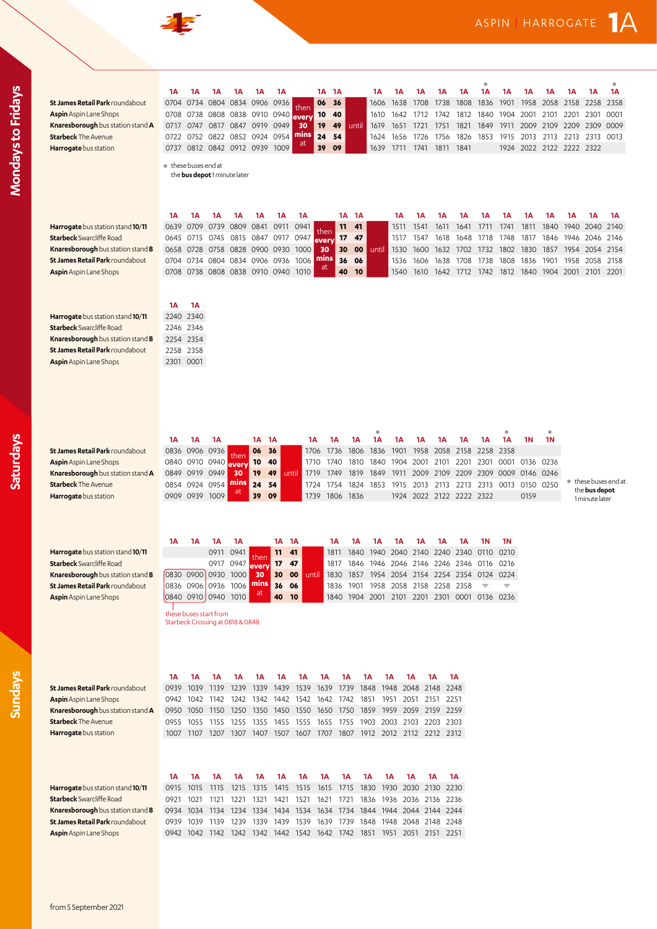| St James Retail Park roundabout<br><b>Aspin</b> Aspin Lane Shops<br>Knaresborough bus station stand A<br><b>Starbeck The Avenue</b><br>Harrogate bus station<br>Harrogate bus station stand 10/11<br><b>Starbeck</b> Swarcliffe Road | 1А<br>0704<br>0717<br>0722<br>0737<br>1А<br>0639 | 1Α<br>0734<br>0708 0738<br>0747<br>0752<br>0812<br>● these buses end at<br>1A<br>0709<br>0645 0715 | 1Α<br>1А                                              | 1Α<br>0804 0834 0906 0936<br>0808 0838<br>0817 0847 0919 0949<br>0822 0852<br>0842 0912 0939 1009<br>the <b>bus depot</b> 1 minute later<br>1А<br>0739 0809<br>0745 0815 | 1Α<br>0910 0940<br>0924<br>1А<br>0841<br>0847 0917 | 1Α<br>0954<br>1А<br>0911 0941       | then<br>every<br>30<br>mins<br>aτ<br>1А<br>0947         | 1Α<br>06<br>10<br>19<br>24<br>39<br>then<br>every | 1А<br>36<br>40<br>49<br>54<br>09<br>1A<br>11<br>17 | until<br>1A<br>41<br>47            | 1А<br>1606<br>1610<br>1619<br>1624<br>1639 | 1Α<br>1638<br>1642<br>1651<br>1656<br>1711<br>1А<br>1511<br>1517 | 1Α<br>1708<br>1712<br>1721<br>1726<br>1741<br>1А<br>1541<br>1547 | 1А<br>1738<br>1742<br>1751<br>1756<br>1811<br>1А<br>1611<br>1618                                                                                                                   | 1Α<br>1808<br>1812<br>1821<br>1826<br>1841<br>1А<br>1641<br>1648 | 1A<br>1836<br>1840<br>1849<br>1853<br>1А<br>1711<br>1718 | 1А<br>1901<br>1904<br>1911<br>1915<br>1924<br>1A<br>1741<br>1748 | 1Α<br>1958<br>2001<br>2009<br>2013<br>1А<br>1811<br>1817 | 1Α<br>2058 2158<br>2101<br>2109 2209<br>2113<br>2022 2122 2222 2322<br>1Α<br>1840<br>1846 1946 | 1Α<br>2201<br>2213<br>1Α<br>1940 | 1Α<br>2258<br>2301<br>2309<br>2313<br>1Α<br>2040 2140<br>2046 2146 | ۵<br>1Α<br>2358<br>0001<br>0009<br>0013<br>1А |
|--------------------------------------------------------------------------------------------------------------------------------------------------------------------------------------------------------------------------------------|--------------------------------------------------|----------------------------------------------------------------------------------------------------|-------------------------------------------------------|--------------------------------------------------------------------------------------------------------------------------------------------------------------------------|----------------------------------------------------|-------------------------------------|---------------------------------------------------------|---------------------------------------------------|----------------------------------------------------|------------------------------------|--------------------------------------------|------------------------------------------------------------------|------------------------------------------------------------------|------------------------------------------------------------------------------------------------------------------------------------------------------------------------------------|------------------------------------------------------------------|----------------------------------------------------------|------------------------------------------------------------------|----------------------------------------------------------|------------------------------------------------------------------------------------------------|----------------------------------|--------------------------------------------------------------------|-----------------------------------------------|
| Knaresborough bus station stand B<br>St James Retail Park roundabout<br>Aspin Aspin Lane Shops<br>Harrogate bus station stand 10/11<br><b>Starbeck</b> Swarcliffe Road                                                               | 0704<br>1A                                       | 0658 0728<br>0734<br>0708 0738<br>1А<br>2240 2340<br>2246 2346                                     |                                                       | 0758 0828<br>0804 0834 0906 0936<br>0808 0838 0910 0940                                                                                                                  | 0900 0930                                          |                                     | 1000<br>1006<br>1010                                    | 30<br>mins<br>at                                  | 30<br>36<br>40                                     | 00<br>06<br>10                     | until                                      | 1530<br>1536<br>1540                                             | 1600<br>1606<br>1610                                             | 1632<br>1638<br>1642                                                                                                                                                               | 1702<br>1708<br>1712                                             | 1732<br>1738<br>1742                                     | 1802<br>1808<br>1812                                             | 1830<br>1836<br>1840                                     | 1857<br>1901<br>1904 2001                                                                      | 1958                             | 1954 2054 2154<br>2058<br>2101 2201                                | 2158                                          |
| Knaresborough bus station stand B<br>St James Retail Park roundabout<br><b>Aspin</b> Aspin Lane Shops                                                                                                                                | 1А                                               | 2254 2354<br>2258 2358<br>2301 0001<br>1А                                                          | 1А                                                    |                                                                                                                                                                          | 1А                                                 | 1A                                  |                                                         | 1А                                                | 1А                                                 | 1Α                                 | 1Α                                         | 1Α                                                               | 1А                                                               | 1А                                                                                                                                                                                 | 1А                                                               | 1А                                                       | ۰<br>1A                                                          | 1N                                                       | ۰<br><b>1N</b>                                                                                 |                                  |                                                                    |                                               |
| St James Retail Park roundabout<br><b>Aspin</b> Aspin Lane Shops<br>Knaresborough bus station stand A<br><b>Starbeck The Avenue</b><br>Harrogate bus station                                                                         | 0854<br>1Α                                       | 0836 0906<br>0840 0910 0940<br>0849 0919<br>0924<br>0909 0939<br>1А                                | 0936<br>0949<br>0954<br>1009<br>1А                    | then<br><b>every</b><br>30<br>mins<br>at<br>1А                                                                                                                           | 06<br>10<br>19<br>24<br>39                         | 36<br>40<br>49<br>54<br>09<br>1A 1A | until                                                   | 1706<br>1710<br>1719<br>1724<br>1739 1806 1836    | 1736<br>1740<br>1749<br>1754<br>1А                 | 1806<br>1810<br>1819<br>1824<br>1Α | 1836<br>1840<br>1849<br>1853<br>1А         | 1901<br>1904<br>1911<br>1915<br>1Α                               | 1958<br>2001<br>2009<br>2013<br>1Α                               | 2058<br>2101<br>2109<br>2113<br>1924 2022 2122 2222 2322<br>1А                                                                                                                     | 2158<br>2201<br>2209<br>2213 2313 0013<br>1А                     | 2258<br>2301<br>2309 0009<br>1N                          | 2358<br>0001<br><b>1N</b>                                        | 0136 0236<br>0146 0246<br>0150 0250<br>0159              |                                                                                                |                                  | the <b>bus depot</b><br>1 minute later                             | ● these buses end at                          |
| Harrogate bus station stand 10/11<br><b>Starbeck</b> Swarcliffe Road<br>Knaresborough bus station stand B<br>St James Retail Park roundabout<br><b>Aspin</b> Aspin Lane Shops                                                        |                                                  |                                                                                                    | 0917<br>0830 0900 0930 1000<br>these buses start from | 0911 0941<br>0947<br>0836 0906 0936 1006<br>0840 0910 0940 1010<br>Starbeck Crossing at 0818 & 0848                                                                      | then<br>30<br>mins<br>at                           | 11<br>17<br>30<br>36<br>40          | 41<br>47<br>00<br>06<br>10                              | until                                             | 1811<br>1817<br>1836                               | 1840<br>1846<br>1901               | 1940<br>1946<br>1958                       | 2046<br>2058                                                     | 2040 2140<br>2146<br>2158                                        | 1830 1857 1954 2054 2154 2254 2354 0124 0224<br>2258<br>1840 1904 2001 2101 2201 2301 0001 0136 0236                                                                               | 2240 2340 0110<br>2246 2346 0116 0216<br>2358                    |                                                          | 0210                                                             |                                                          |                                                                                                |                                  |                                                                    |                                               |
| St James Retail Park roundabout<br><b>Aspin</b> Aspin Lane Shops<br>Knaresborough bus station stand A<br><b>Starbeck The Avenue</b><br>Harrogate bus station                                                                         | 1А<br>0939<br>0942<br>0950<br>0955<br>1Α         | 1A<br>1039<br>1042<br>1050<br>1055<br>1A                                                           | 1A<br>1139<br>1142<br>1150 1250<br>1155 1255<br>1A    | 1А<br>1239<br>1242<br>1А                                                                                                                                                 | 1А<br>1339<br>1342<br>1А                           | 1А<br>1439<br>1350 1450<br>1А       | 1А<br>1539<br>1442 1542<br>1550<br>1355 1455 1555<br>1А | 1А<br>1639<br>1642<br>1650<br>1А                  | 1А<br>1739<br>1742<br>1A                           | 1851                               | 1А<br>1848 1948<br>1750 1859 1959<br>1А    | 1Α<br>1951<br>1Α                                                 | 1А<br>2048 2148<br>2051 2151<br>2059 2159<br>1А                  | 1А<br>1655 1755 1903 2003 2103 2203 2303<br>1007 1107 1207 1307 1407 1507 1607 1707 1807 1912 2012 2112 2212 2312<br>1А                                                            | 1A<br>2248<br>2251<br>2259<br>1A                                 |                                                          |                                                                  |                                                          |                                                                                                |                                  |                                                                    |                                               |
| Harrogate bus station stand 10/11<br><b>Starbeck</b> Swarcliffe Road<br>Knaresborough bus station stand B<br>St James Retail Park roundabout<br>Aspin Aspin Lane Shops                                                               | 0921<br>0939                                     | 0915 1015<br>1021<br>0934 1034<br>1039<br>0942 1042                                                | 1115<br>1121<br>1134 1234<br>1139 1239<br>1142 1242   | 1215<br>1221                                                                                                                                                             | 1321<br>1339                                       | 1315 1415                           | 1515<br>1421 1521                                       | 1615<br>1621                                      | 1715<br>1721                                       |                                    | 1830 1930                                  |                                                                  | 2030 2130                                                        | 1836 1936 2036 2136 2236<br>1334 1434 1534 1634 1734 1844 1944 2044 2144 2244<br>1439 1539 1639 1739 1848 1948 2048 2148 2248<br>1342 1442 1542 1642 1742 1851 1951 2051 2151 2251 | 2230                                                             |                                                          |                                                                  |                                                          |                                                                                                |                                  |                                                                    |                                               |

43

**Sundays**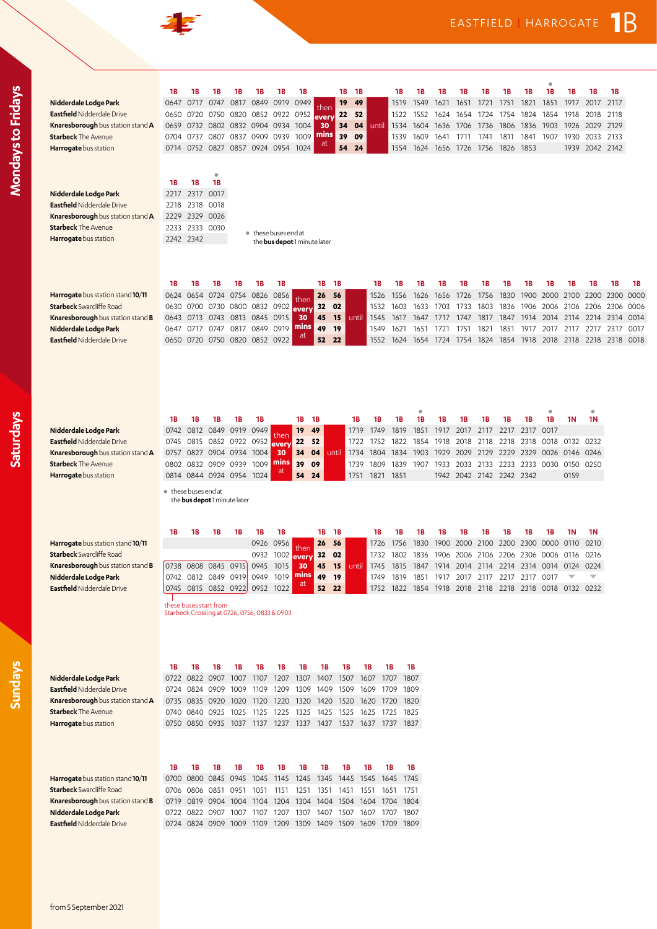| Nidderdale Lodge Park<br><b>Eastfield Nidderdale Drive</b><br>Knaresborough bus station stand A<br><b>Starbeck</b> The Avenue<br>Harrogate bus station<br>Nidderdale Lodge Park<br><b>Eastfield Nidderdale Drive</b><br>Knaresborough bus station stand A<br><b>Starbeck The Avenue</b><br>Harrogate bus station | ۰<br><b>1B</b><br>18<br><b>1B</b><br><b>1B</b><br>1В<br>1Β<br>1В<br>1В<br>1B<br>1В<br>1B<br>1B<br>1B<br>1В<br>1В<br>1В<br>1Β<br>1В<br>1В<br>1Β<br>0817<br>0849<br>0919<br>0949<br>19<br>49<br>1851<br>1917<br>2117<br>0647<br>0717<br>0747<br>1519<br>1549<br>1621<br>1651<br>1721<br>1751<br>1821<br>2017<br>then<br>0852 0922<br>22<br>52<br>1824<br>1918<br>2118<br>0650<br>0720<br>0750<br>0820<br>0952<br>1522<br>1552<br>1624<br>1724<br>1754<br>1854<br>2018<br>1654<br>every<br>0732 0802 0832 0904 0934 1004<br>04<br>1926<br>2129<br>0659<br>30<br>34<br>1534<br>1604<br>1636<br>1706<br>1736<br>1806<br>1836<br>1903<br>2029<br>until<br>mins<br>1009<br>0807<br>0837 0909 0939<br>39<br>09<br>1609<br>1811<br>1930<br>2033 2133<br>0704<br>0737<br>1539<br>1641<br>1741<br>1841<br>1907<br>1711<br><b>at</b><br>0714 0752 0827 0857 0924 0954<br>1024<br>1624<br>1853<br>1939<br>2042 2142<br>54<br>24<br>1554<br>1656<br>1726 1756<br>1826<br>$\bullet$<br>18<br><b>1B</b><br>1В<br>2317<br>0017<br>2217<br>2318<br>0018<br>2218<br>2329<br>0026<br>2229<br>2233 2333 0030<br>● these buses end at<br>2242 2342<br>the bus depot 1 minute later |  |
|------------------------------------------------------------------------------------------------------------------------------------------------------------------------------------------------------------------------------------------------------------------------------------------------------------------|--------------------------------------------------------------------------------------------------------------------------------------------------------------------------------------------------------------------------------------------------------------------------------------------------------------------------------------------------------------------------------------------------------------------------------------------------------------------------------------------------------------------------------------------------------------------------------------------------------------------------------------------------------------------------------------------------------------------------------------------------------------------------------------------------------------------------------------------------------------------------------------------------------------------------------------------------------------------------------------------------------------------------------------------------------------------------------------------------------------------------------------------------------------|--|
| Harrogate bus station stand 10/11<br><b>Starbeck</b> Swarcliffe Road<br>Knaresborough bus station stand B<br>Nidderdale Lodge Park<br><b>Eastfield Nidderdale Drive</b>                                                                                                                                          | 1B<br>1B<br>1B<br>1B<br>1В<br>1B<br>1B<br>1B<br>1B<br>1B<br>1B<br>1B<br>1B<br>1B<br>1В<br>1В<br>1В<br>1В<br>1B<br>1Β<br>1В<br>0754 0826 0856<br>26<br>56<br>1556<br>1626<br>1656<br>1726<br>1756<br>1830<br>1900<br>2000<br>2100<br>2200<br>2300<br>0000<br>0624<br>0654 0724<br>1526<br>then<br>0800 0832 0902<br>32 02<br>1633<br>1803<br>1906<br>0630 0700 0730<br>1532<br>1603<br>1703<br>1733<br>1836<br>2006 2106<br>2206 2306 0006<br>everv<br>0813 0845 0915<br>0643 0713 0743<br>45<br>1817<br>1847<br>1914<br>0014<br>15<br>until<br>1545<br>1617<br>1647<br>1717<br>1747<br>2014<br>2114<br>2214<br>2314<br>30<br>mins<br>0817 0849 0919<br>49<br>0747<br><b>19</b><br>1549<br>2317 0017<br>0647<br>0717<br>1621<br>1721<br>1821<br>1851<br>1917<br>2017<br>2117<br>2217<br>1651<br>1751<br><b>at</b><br>52<br>0820 0852 0922<br>22<br>1754 1824<br>1854<br>2218 2318 0018<br>0650 0720<br>0750<br>1552<br>1624<br>1654<br>1724<br>1918<br>2018 2118                                                                                                                                                                                              |  |
| Nidderdale Lodge Park<br><b>Eastfield Nidderdale Drive</b><br>Knaresborough bus station stand A<br><b>Starbeck The Avenue</b><br>Harrogate bus station                                                                                                                                                           | ٠<br>1B<br>1B<br><b>1B</b><br>1B<br>1B<br><b>1B</b><br>1В<br>1В<br>1B<br>1В<br>1B<br>1B<br>1B<br>1В<br>1В<br>1В<br>1B<br>1N<br>1N<br>0812 0849 0919<br>0949<br>19<br>1749<br>1819<br>1917<br>0017<br>49<br>1851<br>2017<br>2117<br>2217<br>2317<br>0742<br>1719<br>then<br>0815 0852 0922 0952<br>22<br>52<br>1854<br>2118<br>0018 0132 0232<br>0745<br>1722<br>1752<br>1822<br>1918<br>2018<br>2218<br>2318<br>every<br>0827 0904 0934 1004<br>30<br>34<br>04<br>1804<br>1834<br>1903<br>1929<br>2029 2129 2229<br>2329<br>0146<br>0246<br>0757<br>1734<br>0026<br>until<br>mins<br>1009<br>39<br>0832<br>0909 0939<br>09<br>1809<br>1839<br>1907<br>2333 0030<br>0150<br>0250<br>0802<br>1739<br>1933<br>2033<br>2133 2233<br>at<br>0814 0844 0924 0954 1024<br>54<br>0159<br>24<br>1751<br>1821<br>1851<br>1942 2042 2142 2242 2342<br>• these buses end at<br>the bus depot 1 minute later                                                                                                                                                                                                                                                               |  |
| Harrogate bus station stand 10/11<br><b>Starbeck</b> Swarcliffe Road<br>Knaresborough bus station stand B<br>Nidderdale Lodge Park<br><b>Eastfield Nidderdale Drive</b>                                                                                                                                          | <b>1B</b><br>1B<br>1В<br>1B<br>1B<br>1B<br>1B<br>1B<br>1B<br>1B<br><b>1N</b><br>1В<br>1В<br>1B<br>1B<br>1B<br>1В<br>1В<br><b>1N</b><br>0926 0956<br>1900<br>2000<br>2100<br>2300<br>26<br>- 56<br>1726<br>1756<br>1830<br>2200<br>0000<br>0110<br>0210<br>then<br>0932 1002<br>32 02<br>1732<br>1802<br>1836<br>1906<br>2006<br>2106<br>2206<br>2306<br>0006<br>0116<br>0216<br>every<br>0738 0808 0845 0915<br>0945<br>45<br>15<br>1015<br>1745<br>1815<br>1847<br>1914<br>2014<br>2114<br>2214<br>2314<br>0014 0124<br>0224<br>30<br>until<br>0742 0812 0849 0919 0949 1019 mins<br>49<br>- 19<br>1819 1851 1917 2017 2117 2217 2317 0017<br>1749<br>$\overline{\mathbf{v}}$<br>$\overline{\phantom{a}}$<br>ЧĻ<br>0745 0815 0852 0922 0952 1022<br>52<br>22<br>1752 1822 1854 1918 2018 2118 2218 2318 0018 0132 0232<br>these buses start from<br>Starbeck Crossing at 0726, 0756, 0833 & 0903                                                                                                                                                                                                                                                            |  |
| Nidderdale Lodge Park<br><b>Eastfield Nidderdale Drive</b><br>Knaresborough bus station stand A<br><b>Starbeck The Avenue</b><br>Harrogate bus station                                                                                                                                                           | 1В<br>1B<br>1В<br>1В<br>18<br>1B<br>1В<br>1B<br>18<br>1B<br>1В<br>1B<br>0722 0822 0907 1007<br>1107 1207<br>1307 1407 1507 1607<br>1707<br>1807<br>0724 0824 0909 1009<br>1109 1209<br>1309 1409 1509 1609 1709<br>1809<br>0735 0835 0920 1020 1120 1220 1320 1420 1520 1620 1720 1820<br>0740 0840 0925 1025 1125 1225 1325 1425 1525 1625 1725 1825<br>0750 0850 0935 1037 1137 1237 1337 1437 1537 1637 1737 1837                                                                                                                                                                                                                                                                                                                                                                                                                                                                                                                                                                                                                                                                                                                                         |  |
| Harrogate bus station stand 10/11<br><b>Starbeck</b> Swarcliffe Road<br>Knaresborough bus station stand B<br>Nidderdale Lodge Park<br>Eastfield Nidderdale Drive                                                                                                                                                 | 1B<br><b>1B</b><br>1В<br>1B<br>1B<br>1B<br>1В<br>1В<br>1B<br>1B<br>1B<br>1B<br>0700 0800 0845 0945<br>1045 1145<br>1345 1445<br>1745<br>1245<br>1545<br>1645<br>0706 0806 0851 0951 1051 1151 1251<br>1351 1451<br>1551 1651 1751<br>0719 0819 0904 1004 1104 1204 1304 1404 1504 1604 1704 1804<br>0722 0822 0907 1007 1107 1207 1307 1407 1507 1607 1707 1807<br>0724 0824 0909 1009 1109 1209 1309 1409 1509 1609 1709 1809                                                                                                                                                                                                                                                                                                                                                                                                                                                                                                                                                                                                                                                                                                                               |  |

非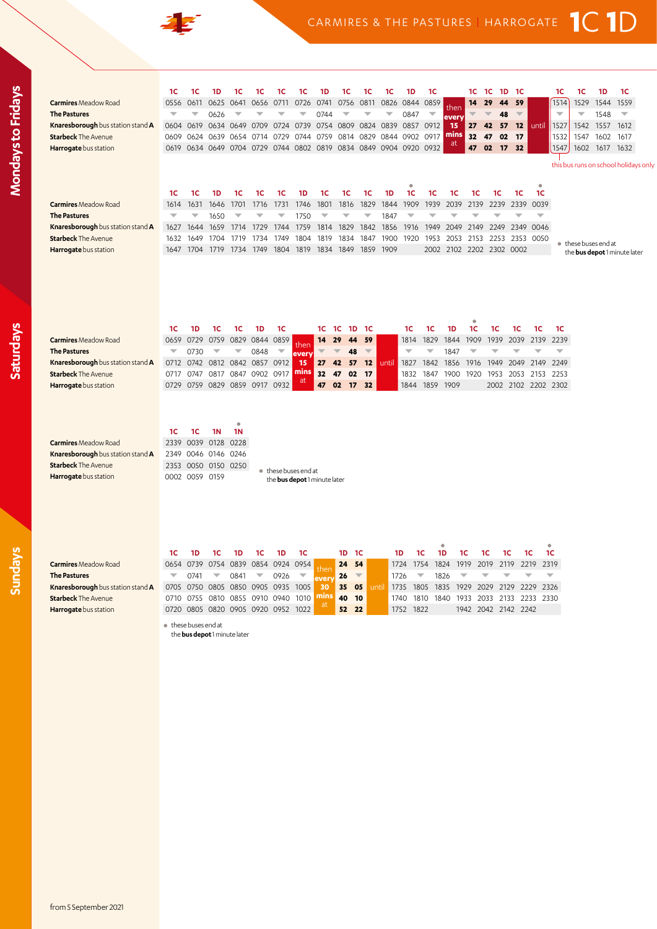

|                                                 | 1C                       | 1C             | 1D                      | 1C                            | 1С                       | 1C                      | 1C                                  | 1D                       | 1C                       | 1С                       | 1C                            | 1D                       | 1C                       |              | 1C 1C                    |      | 1D<br>- 1С                     |                | 1C                       | 1C                       | 1D   | 1C                                    |  |
|-------------------------------------------------|--------------------------|----------------|-------------------------|-------------------------------|--------------------------|-------------------------|-------------------------------------|--------------------------|--------------------------|--------------------------|-------------------------------|--------------------------|--------------------------|--------------|--------------------------|------|--------------------------------|----------------|--------------------------|--------------------------|------|---------------------------------------|--|
| <b>Carmires</b> Meadow Road                     | 0556                     | 0611           | 0625                    | 0641                          | 0656                     | 0711                    | 0726                                | 0741                     | 0756                     | 0811                     |                               | 0826 0844 0859           |                          | ther         | 14                       | 29   | 59<br>44                       |                | 1514                     | 1529                     | 1544 | 1559                                  |  |
| <b>The Pastures</b>                             | $\overline{\phantom{0}}$ | ▼              | 0626                    |                               |                          |                         | ▼                                   | 0744                     | $\overline{\phantom{0}}$ |                          | $\overline{\phantom{0}}$      | 0847                     |                          | every        |                          |      | 48<br>$\overline{\phantom{m}}$ |                | $\overline{\phantom{0}}$ | $\overline{\phantom{a}}$ | 1548 | $\overline{\phantom{0}}$              |  |
| Knaresborough bus station stand A               |                          | 0604 0619      |                         | 0634 0649 0709                |                          | 0724                    | 0739                                |                          |                          |                          | 0754 0809 0824 0839 0857 0912 |                          |                          | 15           | 27                       | 42   | 57<br>12                       | until          | 1527                     | 1542                     | 1557 | 1612                                  |  |
| <b>Starbeck The Avenue</b>                      | 0609                     | 0624           | 0639                    | 0654                          | 0714                     | 0729                    | 0744                                | 0759                     | 0814                     | 0829                     |                               | 0844 0902 0917           |                          | mins         | 32                       | 47   | 02<br>17                       |                | 1532                     | 1547                     | 1602 | 1617                                  |  |
| Harrogate bus station                           | 0619                     |                | 0634 0649               | 0704 0729                     |                          |                         |                                     |                          | 0744 0802 0819 0834 0849 |                          |                               | 0904 0920 0932           |                          | <b>at</b>    | 47                       | 02   | 17<br>32                       |                | 1547                     | 1602                     | 1617 | 1632                                  |  |
|                                                 |                          |                |                         |                               |                          |                         |                                     |                          |                          |                          |                               |                          |                          |              |                          |      |                                |                |                          |                          |      | this bus runs on school holidays only |  |
|                                                 |                          |                |                         |                               |                          |                         |                                     |                          |                          |                          |                               |                          |                          |              |                          |      |                                |                |                          |                          |      |                                       |  |
|                                                 |                          |                |                         |                               |                          |                         |                                     |                          |                          |                          |                               | $\bullet$                |                          |              |                          |      |                                | $\bullet$      |                          |                          |      |                                       |  |
|                                                 | 1C                       | 1C             | 1D                      | 1C                            | 1C                       | 1C                      | 1D                                  | 1C                       | 1C                       | 1C                       | 1D                            | 1C                       | 1C                       | 1C           | 1C                       | 1C   | 1C                             | 1C             |                          |                          |      |                                       |  |
| <b>Carmires</b> Meadow Road                     | 1614                     | 1631           | 1646                    | 1701                          | 1716                     | 1731                    | 1746                                | 1801                     | 1816                     | 1829                     | 1844                          | 1909                     | 1939                     | 2039         | 2139                     | 2239 | 2339                           | 0039           |                          |                          |      |                                       |  |
| <b>The Pastures</b>                             | $\overline{\phantom{0}}$ | ÷              | 1650                    |                               |                          | v                       | 1750                                | $\overline{\phantom{a}}$ | $\overline{\phantom{0}}$ | ÷                        | 1847                          |                          |                          |              |                          |      |                                | ÷              |                          |                          |      |                                       |  |
| Knaresborough bus station stand A               | 1627                     | 1644           | 1659                    | 1714                          | 1729                     | 1744                    | 1759                                | 1814                     | 1829                     | 1842                     | 1856                          | 1916                     | 1949                     | 2049         | 2149                     | 2249 | 2349                           | 0046           |                          |                          |      |                                       |  |
| <b>Starbeck The Avenue</b>                      | 1632                     | 1649           | 1704                    | 1719                          | 1734                     | 1749                    | 1804                                | 1819                     | 1834                     | 1847                     | 1900                          | 1920                     | 1953                     | 2053         | 2153                     |      |                                | 2253 2353 0050 | $\bullet$                | these buses end at       |      |                                       |  |
| Harrogate bus station                           | 1647                     | 1704           | 1719                    | 1734                          | 1749                     | 1804                    | 1819                                | 1834                     | 1849                     | 1859                     | 1909                          |                          | 2002                     | 2102         | 2202                     |      | 2302 0002                      |                |                          |                          |      | the bus depot 1 minute later          |  |
|                                                 |                          |                |                         |                               |                          |                         |                                     |                          |                          |                          |                               |                          |                          |              |                          |      |                                |                |                          |                          |      |                                       |  |
|                                                 |                          |                |                         |                               |                          |                         |                                     |                          |                          |                          |                               |                          |                          |              |                          |      |                                |                |                          |                          |      |                                       |  |
|                                                 |                          |                |                         |                               |                          |                         |                                     |                          |                          |                          |                               |                          |                          |              |                          |      |                                |                |                          |                          |      |                                       |  |
|                                                 |                          |                |                         |                               |                          |                         |                                     |                          |                          |                          |                               |                          |                          |              |                          |      |                                |                |                          |                          |      |                                       |  |
|                                                 |                          |                |                         |                               |                          |                         |                                     |                          |                          |                          |                               |                          |                          |              |                          |      |                                |                |                          |                          |      |                                       |  |
|                                                 |                          |                |                         |                               |                          |                         |                                     |                          |                          |                          |                               |                          |                          |              |                          |      |                                |                |                          |                          |      |                                       |  |
|                                                 | 1C                       | 1D             | 1C                      | 1C                            | 1D                       | 1C                      |                                     | 1C                       | 1C<br>1D                 | 1C                       |                               | 1C                       | 1 <sup>C</sup>           | 1D           | 1C                       | 1C   | 1C                             | 1C             | 1C                       |                          |      |                                       |  |
| <b>Carmires</b> Meadow Road                     | 0659                     | 0729           | 0759                    | 0829 0844                     |                          | 0859                    | then                                | 14                       | 29<br>44                 | 59                       |                               | 1814                     | 1829                     | 1844         | 1909                     | 1939 | 2039                           | 2139           | 2239                     |                          |      |                                       |  |
| <b>The Pastures</b>                             | $\overline{\phantom{a}}$ | 0730           | $\overline{\mathbf{v}}$ | $\overline{\phantom{a}}$      | 0848                     | $\overline{\mathbf{v}}$ | every                               |                          | 48                       | $\overline{\mathbb{V}}$  |                               | $\overline{\phantom{0}}$ | $\overline{\phantom{0}}$ | 1847         | $\overline{\phantom{0}}$ |      |                                |                | $\overline{\phantom{0}}$ |                          |      |                                       |  |
| Knaresborough bus station stand A               | 0712                     | 0742           |                         | 0812 0842 0857 0912           |                          |                         | 15<br>mins                          | 27 42                    | 57                       | 12                       | until                         | 1827                     | 1842                     | 1856 1916    |                          | 1949 |                                | 2049 2149      | 2249                     |                          |      |                                       |  |
| <b>Starbeck The Avenue</b>                      | 0717                     | 0747           | 0817                    | 0847 0902                     |                          | 0917                    | <sub>at</sub>                       | 32                       | 47<br>02                 | 17                       |                               | 1832                     | 1847                     | 1900         | 1920                     | 1953 | 2053                           | 2153           | 2253                     |                          |      |                                       |  |
| Harrogate bus station                           | 0729                     | 0759           |                         | 0829 0859 0917 0932           |                          |                         |                                     | 47                       | 17<br>02                 | 32                       |                               | 1844                     | 1859                     | 1909         |                          | 2002 |                                |                | 2102 2202 2302           |                          |      |                                       |  |
|                                                 |                          |                |                         |                               |                          |                         |                                     |                          |                          |                          |                               |                          |                          |              |                          |      |                                |                |                          |                          |      |                                       |  |
|                                                 |                          |                |                         |                               |                          |                         |                                     |                          |                          |                          |                               |                          |                          |              |                          |      |                                |                |                          |                          |      |                                       |  |
|                                                 |                          |                |                         | $\bullet$                     |                          |                         |                                     |                          |                          |                          |                               |                          |                          |              |                          |      |                                |                |                          |                          |      |                                       |  |
|                                                 | 1C                       | 1 <sup>C</sup> | 1N                      | 1N                            |                          |                         |                                     |                          |                          |                          |                               |                          |                          |              |                          |      |                                |                |                          |                          |      |                                       |  |
| <b>Carmires</b> Meadow Road                     | 2339                     | 0039           | 0128                    | 0228                          |                          |                         |                                     |                          |                          |                          |                               |                          |                          |              |                          |      |                                |                |                          |                          |      |                                       |  |
| <b>Knaresborough</b> bus station stand <b>A</b> | 2349                     | 0046           | 0146 0246               |                               |                          |                         |                                     |                          |                          |                          |                               |                          |                          |              |                          |      |                                |                |                          |                          |      |                                       |  |
| <b>Starbeck The Avenue</b>                      |                          | 2353 0050      |                         | 0150 0250                     |                          |                         | • these buses end at                |                          |                          |                          |                               |                          |                          |              |                          |      |                                |                |                          |                          |      |                                       |  |
| Harrogate bus station                           |                          | 0002 0059 0159 |                         |                               |                          |                         | the <b>bus depot</b> 1 minute later |                          |                          |                          |                               |                          |                          |              |                          |      |                                |                |                          |                          |      |                                       |  |
|                                                 |                          |                |                         |                               |                          |                         |                                     |                          |                          |                          |                               |                          |                          |              |                          |      |                                |                |                          |                          |      |                                       |  |
|                                                 |                          |                |                         |                               |                          |                         |                                     |                          |                          |                          |                               |                          |                          |              |                          |      |                                |                |                          |                          |      |                                       |  |
|                                                 |                          |                |                         |                               |                          |                         |                                     |                          |                          |                          |                               |                          |                          |              |                          |      |                                |                |                          |                          |      |                                       |  |
|                                                 |                          |                |                         |                               |                          |                         |                                     |                          |                          |                          |                               |                          |                          |              |                          |      |                                |                |                          |                          |      |                                       |  |
|                                                 |                          |                |                         |                               |                          |                         |                                     |                          |                          |                          |                               |                          |                          |              |                          |      |                                |                |                          |                          |      |                                       |  |
|                                                 | 1С                       | 1D             | 1C                      | 1D                            | 1С                       | 1D                      | 1 <sup>C</sup>                      |                          | 1D                       | 1С                       | 1D                            |                          | 1С                       | 1D           | 1С                       | 1С   | 1С                             | 1С             | ۰<br>1C                  |                          |      |                                       |  |
| <b>Carmires</b> Meadow Road                     | 0654                     | 0739           |                         | 0754 0839 0854 0924           |                          |                         | 0954                                |                          | 24                       | 54                       |                               | 1724                     | 1754                     | 1824         | 1919                     | 2019 | 2119                           | 2219           | 2319                     |                          |      |                                       |  |
| <b>The Pastures</b>                             | $\overline{\phantom{a}}$ | 0741           | $\overline{\mathbf{v}}$ | 0841                          | $\overline{\phantom{a}}$ | 0926                    | ▼                                   | then                     | 26                       | $\overline{\phantom{a}}$ | 1726                          | $\overline{\mathbf{v}}$  |                          | 1826         |                          |      |                                |                |                          |                          |      |                                       |  |
| Knaresborough bus station stand A               | 0705                     | 0750           |                         | 0805 0850 0905 0935           |                          |                         | 1005                                | every<br>30              | 35                       | 05                       | until<br>1735                 | 1805                     |                          | 1835         | 1929                     | 2029 | 2129                           | 2229           | 2326                     |                          |      |                                       |  |
| <b>Starbeck The Avenue</b>                      | 0710                     | 0755           | 0810                    | 0855 0910                     |                          | 0940                    | 1010                                | mins                     | 40                       | 10                       | 1740                          |                          | 1810                     | 1840<br>1933 |                          | 2033 | 2133                           | 2233           | 2330                     |                          |      |                                       |  |
| Harrogate bus station                           |                          |                |                         | 0720 0805 0820 0905 0920 0952 |                          |                         | 1022                                |                          | 52                       | 22                       |                               | 1752<br>1822             |                          |              |                          |      | 1942 2042 2142 2242            |                |                          |                          |      |                                       |  |
|                                                 |                          |                |                         |                               |                          |                         |                                     |                          |                          |                          |                               |                          |                          |              |                          |      |                                |                |                          |                          |      |                                       |  |
|                                                 |                          |                |                         |                               |                          |                         |                                     |                          |                          |                          |                               |                          |                          |              |                          |      |                                |                |                          |                          |      |                                       |  |

these buses end at the **bus depot** 1 minute later